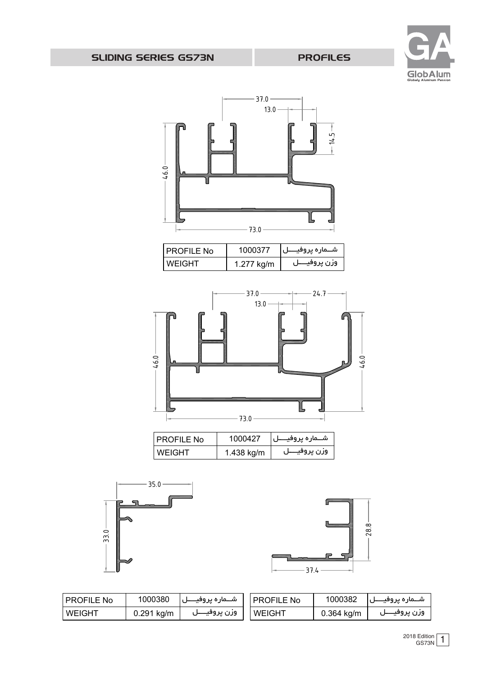



| <b>PROFILE No</b> | 1000380      | شـــماره پروفيـــــل | <b>PROFILE No</b> |              | شـــماره پروفيــــل     1000382 |
|-------------------|--------------|----------------------|-------------------|--------------|---------------------------------|
| <b>NEIGHT</b>     | $0.291$ kg/m | وزن پروفيــــل       | <b>WEIGHT</b>     | $0.364$ kg/m | وزن پروفیــــل                  |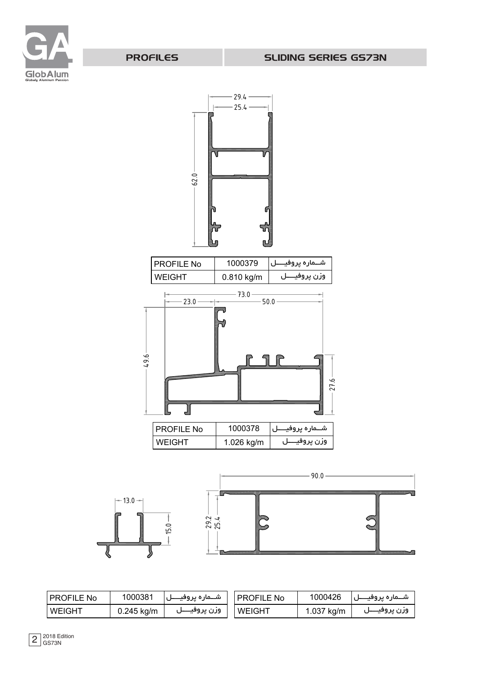

PROFILES







| I PROFILE No | 1000381      | شـــماره يروفيــــــل | PROFILE No    | 1000426    | شــماره يروفيــــل |
|--------------|--------------|-----------------------|---------------|------------|--------------------|
| WEIGHT       | $0.245$ kg/m | ورن پروفیــــا        | <b>WEIGHT</b> | 1.037 kg/m | ورن پروفیــــل     |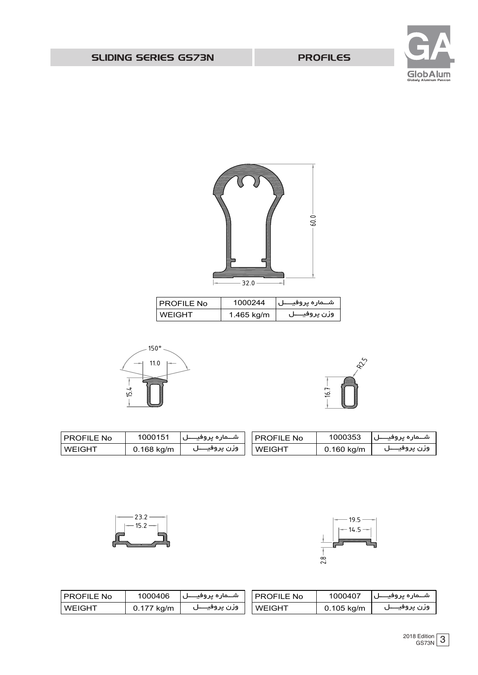| <b>I PROFILE No</b> | 1000406    | شــماره يروفيــــل | l PROFILE No  | 1000407      | شـــماره يروفيـــــل |
|---------------------|------------|--------------------|---------------|--------------|----------------------|
| <b>WEIGHT</b>       | 0.177 kg/m | وزن پروفيــــل     | <b>WEIGHT</b> | $0.105$ kg/m | وزن پروفيــــل       |



**WEIGHT** PROFILE No





1000151

شـــماره پروفیـــــل وزن پروفیـــــل

0.168 kg/m



1000353

شـــماره پروفیـــــل وزن پروفیـــــل

0.160 kg/m

| ' PROFILE No  | 1000244    | شــماره پروفيــــل |
|---------------|------------|--------------------|
| <b>WEIGHT</b> | 1.465 kg/m | وزن پروفيــــل     |

**WEIGHT** PROFILE No



SLIDING SERIES GS73N

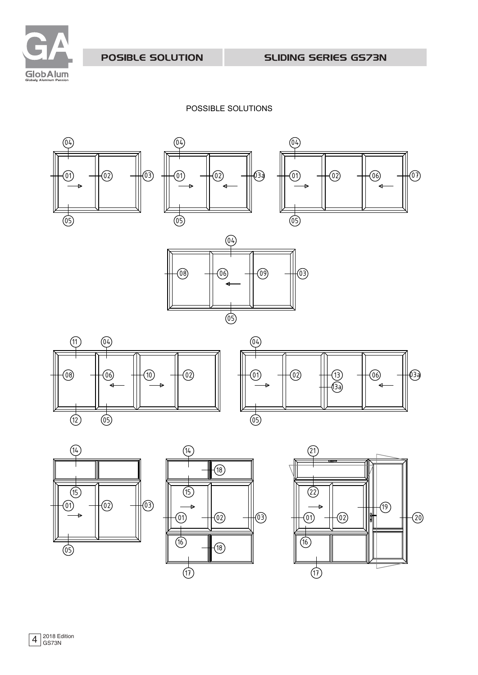

POSIBLE SOLUTION

SLIDING SERIES GS73N

POSSIBLE SOLUTIONS









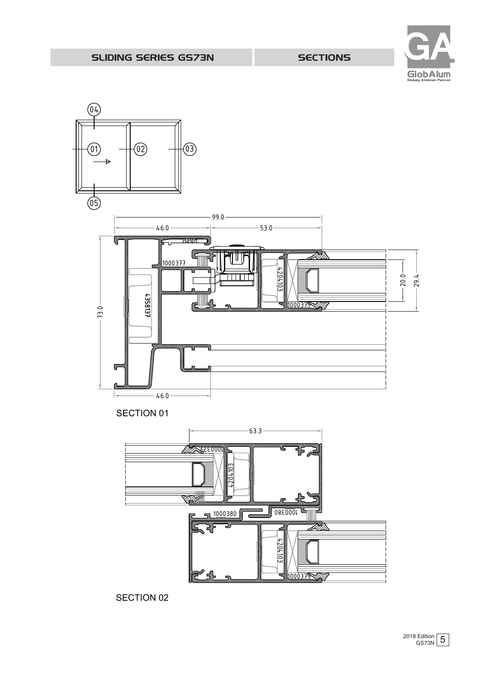$(04)$ 



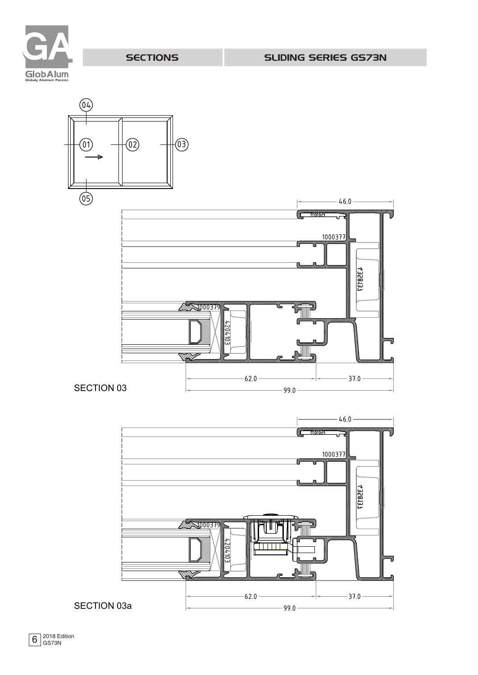



SECTION 03  $\qquad \qquad$ 

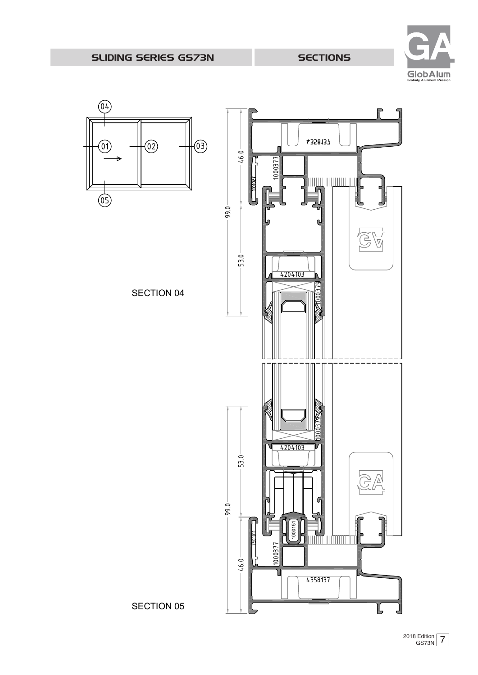

## SLIDING SERIES GS73N

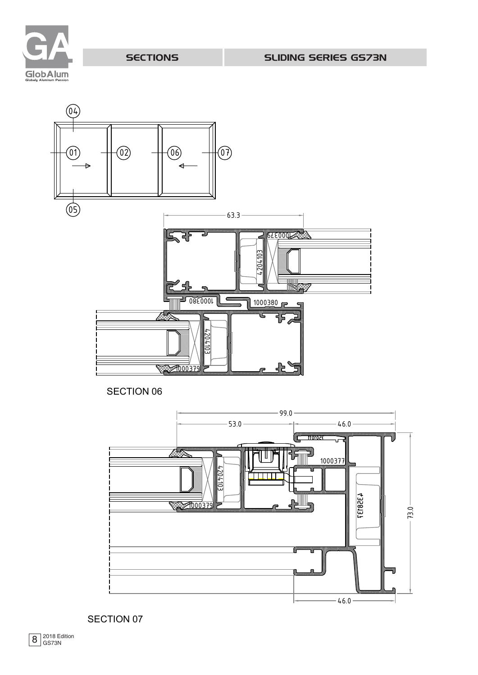



SECTION 06

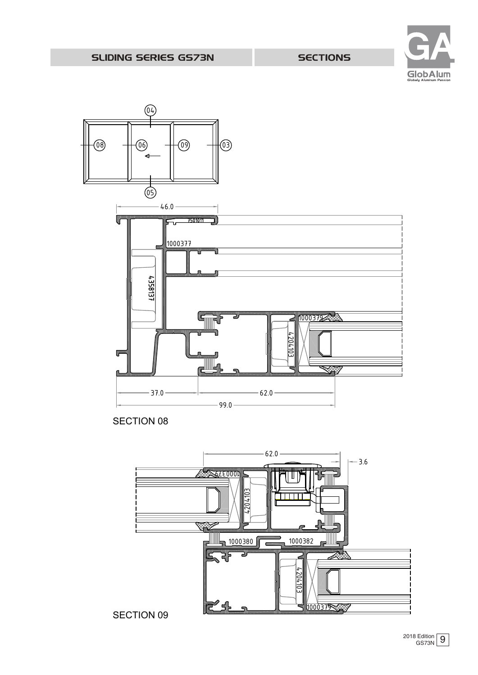



SECTION 08



2018 Edition 9 GS73N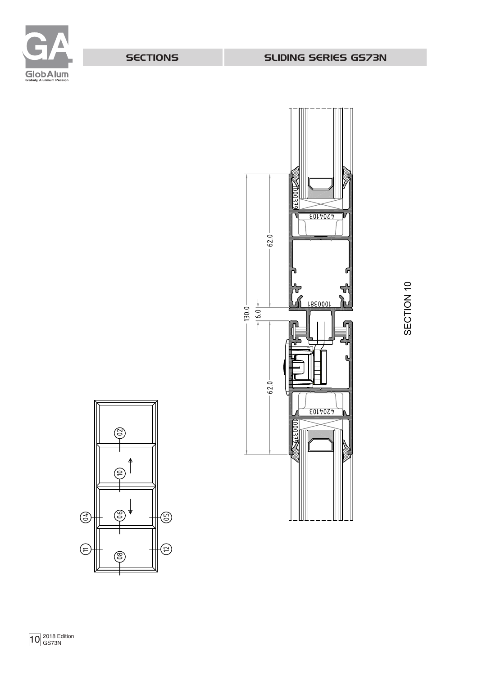





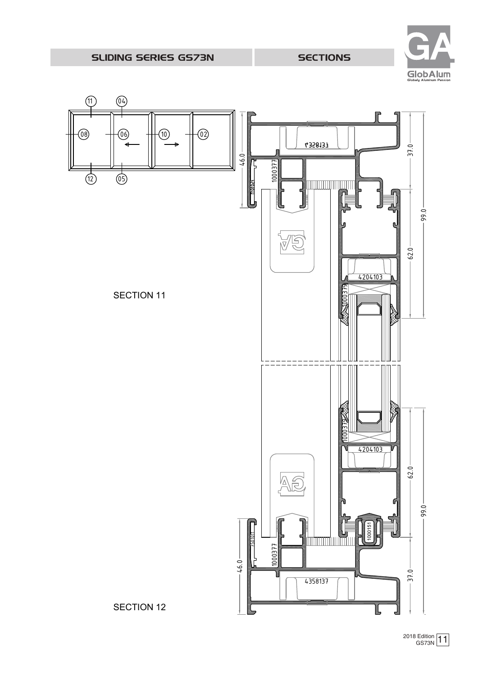

## SLIDING SERIES GS73N

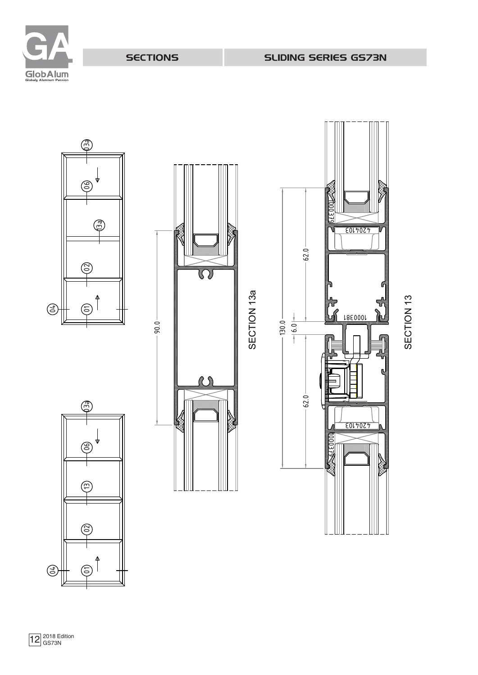



ഭ

(ස

 $\bigoplus$ 

ල



SECTION 13a





 $\bigodot$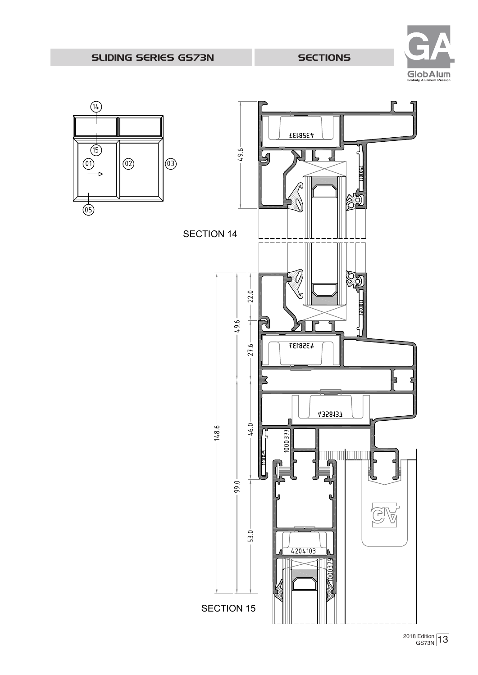

SLIDING SERIES GS73N

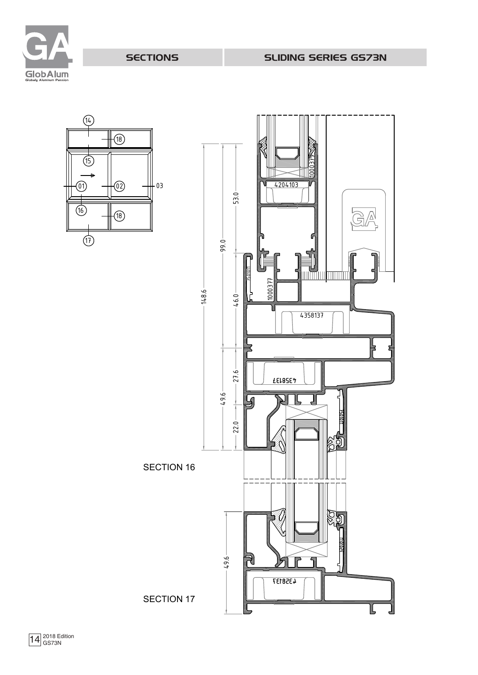

SLIDING SERIES GS73N

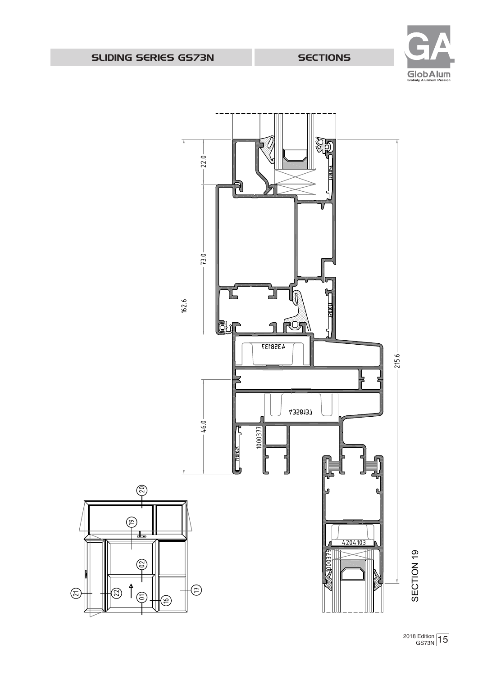



2018 Edition 15 GS73 N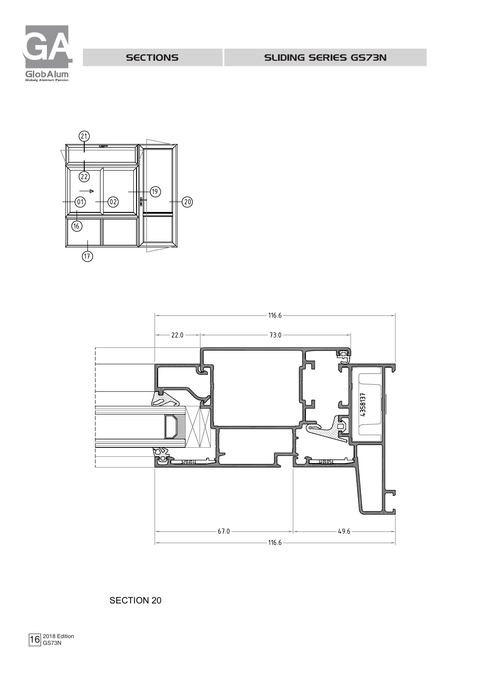





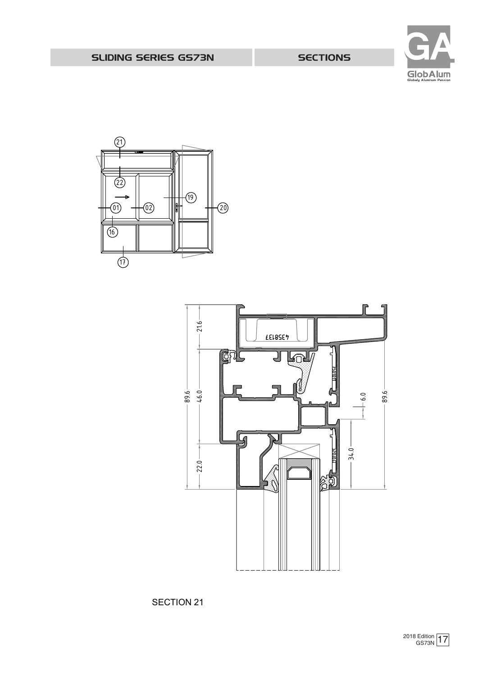